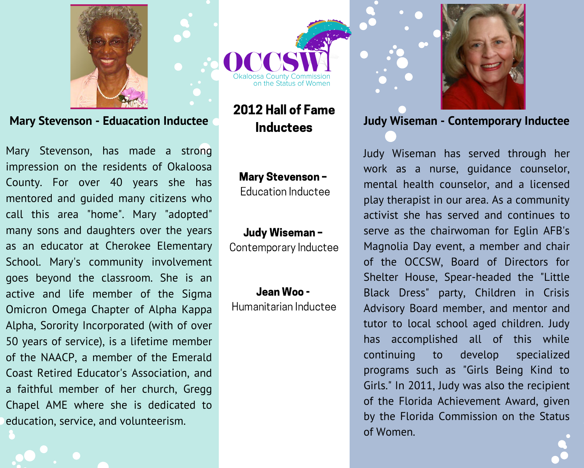

**Mary Stevenson - Eduacation Inductee** 

Mary Stevenson, has made a strong impression on the residents of Okaloosa County. For over 40 years she has mentored and quided many citizens who call this area "home". Mary "adopted" many sons and daughters over the years as an educator at Cherokee Elementary School. Mary's community involvement goes beyond the classroom. She is an active and life member of the Sigma Omicron Omega Chapter of Alpha Kappa Alpha, Sorority Incorporated (with of over 50 years of service), is a lifetime member of the NAACP, a member of the Emerald Coast Retired Educator's Association, and a faithful member of her church, Gregg Chapel AME where she is dedicated to education, service, and volunteerism.

In the Status of Womer

## 2012 Hall of Fame **Inductees**

#### **Mary Stevenson-**Education Inductee

#### Judy Wiseman-Contemporary Inductee

## Jean Woo -

Humanitarian Inductee



## **Judy Wiseman - Contemporary Inductee**

Judy Wiseman has served through her work as a nurse, quidance counselor, mental health counselor, and a licensed play therapist in our area. As a community activist she has served and continues to serve as the chairwoman for Eqlin AFB's Magnolia Day event, a member and chair of the OCCSW, Board of Directors for Shelter House, Spear-headed the "Little Black Dress" party, Children in Crisis Advisory Board member, and mentor and tutor to local school aged children. Judy has accomplished all of this while continuing  $\overline{\phantom{a}}$  to develop specialized programs such as "Girls Being Kind to Girls." In 2011, Judy was also the recipient of the Florida Achievement Award, given by the Florida Commission on the Status of Women.